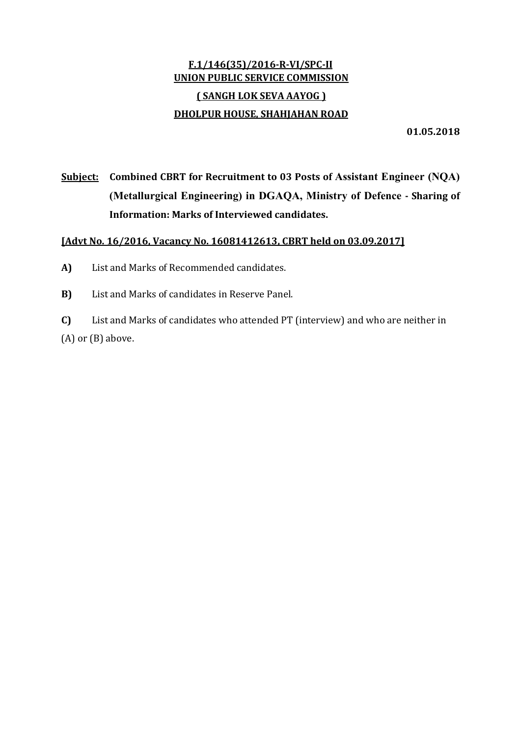# F.1/146(35)/2016‐R‐VI/SPC‐II UNION PUBLIC SERVICE COMMISSION ( SANGH LOK SEVA AAYOG ) DHOLPUR HOUSE, SHAHJAHAN ROAD

01.05.2018

Subject: Combined CBRT for Recruitment to 03 Posts of Assistant Engineer (NQA) (Metallurgical Engineering) in DGAQA, Ministry of Defence ‐ Sharing of Information: Marks of Interviewed candidates.

## [Advt No. 16/2016, Vacancy No. 16081412613, CBRT held on 03.09.2017]

- A) List and Marks of Recommended candidates.
- B) List and Marks of candidates in Reserve Panel.

C) List and Marks of candidates who attended PT (interview) and who are neither in (A) or (B) above.